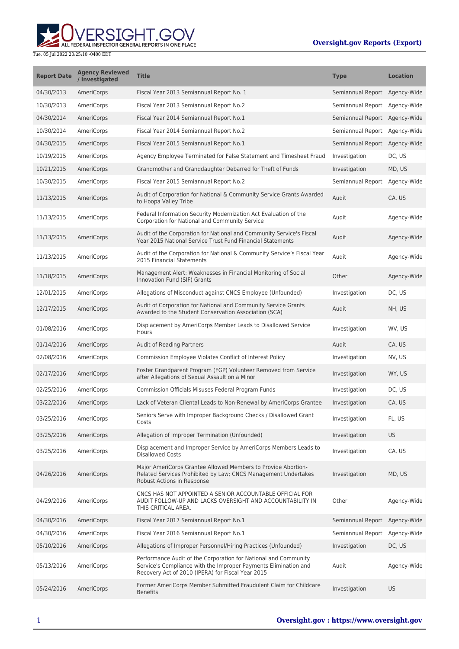## **WERSIGHT.GOV**

Tue, 05 Jul 2022 20:25:10 -0400 EDT

## **Oversight.gov Reports (Export)**

| <b>Report Date</b> | <b>Agency Reviewed</b><br>/ Investigated | <b>Title</b>                                                                                                                                                                            | <b>Type</b>                   | <b>Location</b> |
|--------------------|------------------------------------------|-----------------------------------------------------------------------------------------------------------------------------------------------------------------------------------------|-------------------------------|-----------------|
| 04/30/2013         | AmeriCorps                               | Fiscal Year 2013 Semiannual Report No. 1                                                                                                                                                | Semiannual Report Agency-Wide |                 |
| 10/30/2013         | AmeriCorps                               | Fiscal Year 2013 Semiannual Report No.2                                                                                                                                                 | Semiannual Report             | Agency-Wide     |
| 04/30/2014         | AmeriCorps                               | Fiscal Year 2014 Semiannual Report No.1                                                                                                                                                 | Semiannual Report Agency-Wide |                 |
| 10/30/2014         | AmeriCorps                               | Fiscal Year 2014 Semiannual Report No.2                                                                                                                                                 | Semiannual Report             | Agency-Wide     |
| 04/30/2015         | AmeriCorps                               | Fiscal Year 2015 Semiannual Report No.1                                                                                                                                                 | Semiannual Report             | Agency-Wide     |
| 10/19/2015         | AmeriCorps                               | Agency Employee Terminated for False Statement and Timesheet Fraud                                                                                                                      | Investigation                 | DC, US          |
| 10/21/2015         | AmeriCorps                               | Grandmother and Granddaughter Debarred for Theft of Funds                                                                                                                               | Investigation                 | MD, US          |
| 10/30/2015         | AmeriCorps                               | Fiscal Year 2015 Semiannual Report No.2                                                                                                                                                 | Semiannual Report             | Agency-Wide     |
| 11/13/2015         | AmeriCorps                               | Audit of Corporation for National & Community Service Grants Awarded<br>to Hoopa Valley Tribe                                                                                           | Audit                         | CA, US          |
| 11/13/2015         | AmeriCorps                               | Federal Information Security Modernization Act Evaluation of the<br>Corporation for National and Community Service                                                                      | Audit                         | Agency-Wide     |
| 11/13/2015         | AmeriCorps                               | Audit of the Corporation for National and Community Service's Fiscal<br>Year 2015 National Service Trust Fund Financial Statements                                                      | Audit                         | Agency-Wide     |
| 11/13/2015         | AmeriCorps                               | Audit of the Corporation for National & Community Service's Fiscal Year<br>2015 Financial Statements                                                                                    | Audit                         | Agency-Wide     |
| 11/18/2015         | AmeriCorps                               | Management Alert: Weaknesses in Financial Monitoring of Social<br>Innovation Fund (SIF) Grants                                                                                          | Other                         | Agency-Wide     |
| 12/01/2015         | AmeriCorps                               | Allegations of Misconduct against CNCS Employee (Unfounded)                                                                                                                             | Investigation                 | DC, US          |
| 12/17/2015         | AmeriCorps                               | Audit of Corporation for National and Community Service Grants<br>Awarded to the Student Conservation Association (SCA)                                                                 | Audit                         | NH, US          |
| 01/08/2016         | AmeriCorps                               | Displacement by AmeriCorps Member Leads to Disallowed Service<br>Hours                                                                                                                  | Investigation                 | WV, US          |
| 01/14/2016         | AmeriCorps                               | <b>Audit of Reading Partners</b>                                                                                                                                                        | Audit                         | CA, US          |
| 02/08/2016         | AmeriCorps                               | Commission Employee Violates Conflict of Interest Policy                                                                                                                                | Investigation                 | NV, US          |
| 02/17/2016         | AmeriCorps                               | Foster Grandparent Program (FGP) Volunteer Removed from Service<br>after Allegations of Sexual Assault on a Minor                                                                       | Investigation                 | WY, US          |
| 02/25/2016         | AmeriCorps                               | <b>Commission Officials Misuses Federal Program Funds</b>                                                                                                                               | Investigation                 | DC, US          |
| 03/22/2016         | AmeriCorps                               | Lack of Veteran Cliental Leads to Non-Renewal by AmeriCorps Grantee                                                                                                                     | Investigation                 | CA, US          |
| 03/25/2016         | AmeriCorps                               | Seniors Serve with Improper Background Checks / Disallowed Grant<br>Costs                                                                                                               | Investigation                 | FL, US          |
| 03/25/2016         | AmeriCorps                               | Allegation of Improper Termination (Unfounded)                                                                                                                                          | Investigation                 | <b>US</b>       |
| 03/25/2016         | AmeriCorps                               | Displacement and Improper Service by AmeriCorps Members Leads to<br><b>Disallowed Costs</b>                                                                                             | Investigation                 | CA, US          |
| 04/26/2016         | AmeriCorps                               | Major AmeriCorps Grantee Allowed Members to Provide Abortion-<br>Related Services Prohibited by Law; CNCS Management Undertakes<br>Robust Actions in Response                           | Investigation                 | MD, US          |
| 04/29/2016         | AmeriCorps                               | CNCS HAS NOT APPOINTED A SENIOR ACCOUNTABLE OFFICIAL FOR<br>AUDIT FOLLOW-UP AND LACKS OVERSIGHT AND ACCOUNTABILITY IN<br>THIS CRITICAL AREA.                                            | Other                         | Agency-Wide     |
| 04/30/2016         | AmeriCorps                               | Fiscal Year 2017 Semiannual Report No.1                                                                                                                                                 | Semiannual Report Agency-Wide |                 |
| 04/30/2016         | AmeriCorps                               | Fiscal Year 2016 Semiannual Report No.1                                                                                                                                                 | Semiannual Report             | Agency-Wide     |
| 05/10/2016         | AmeriCorps                               | Allegations of Improper Personnel/Hiring Practices (Unfounded)                                                                                                                          | Investigation                 | DC, US          |
| 05/13/2016         | AmeriCorps                               | Performance Audit of the Corporation for National and Community<br>Service's Compliance with the Improper Payments Elimination and<br>Recovery Act of 2010 (IPERA) for Fiscal Year 2015 | Audit                         | Agency-Wide     |
| 05/24/2016         | AmeriCorps                               | Former AmeriCorps Member Submitted Fraudulent Claim for Childcare<br><b>Benefits</b>                                                                                                    | Investigation                 | <b>US</b>       |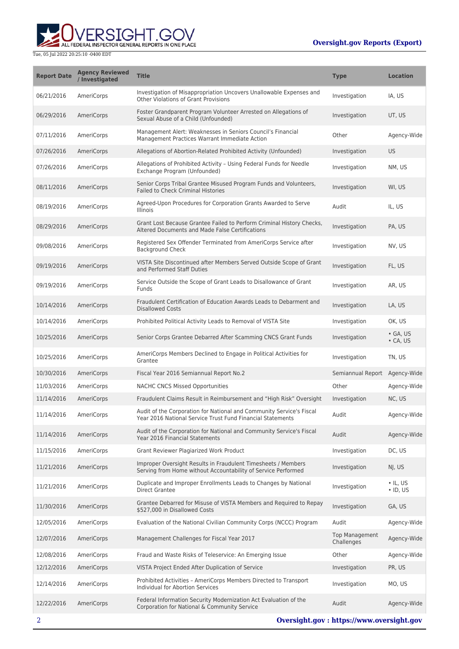## **Oversight.gov Reports (Export)**



| <b>Report Date</b> | <b>Agency Reviewed</b><br>/ Investigated | <b>Title</b>                                                                                                                       | <b>Type</b>                         | <b>Location</b>                      |
|--------------------|------------------------------------------|------------------------------------------------------------------------------------------------------------------------------------|-------------------------------------|--------------------------------------|
| 06/21/2016         | AmeriCorps                               | Investigation of Misappropriation Uncovers Unallowable Expenses and<br><b>Other Violations of Grant Provisions</b>                 | Investigation                       | IA, US                               |
| 06/29/2016         | AmeriCorps                               | Foster Grandparent Program Volunteer Arrested on Allegations of<br>Sexual Abuse of a Child (Unfounded)                             | Investigation                       | UT, US                               |
| 07/11/2016         | AmeriCorps                               | Management Alert: Weaknesses in Seniors Council's Financial<br>Management Practices Warrant Immediate Action                       | Other                               | Agency-Wide                          |
| 07/26/2016         | AmeriCorps                               | Allegations of Abortion-Related Prohibited Activity (Unfounded)                                                                    | Investigation                       | <b>US</b>                            |
| 07/26/2016         | AmeriCorps                               | Allegations of Prohibited Activity - Using Federal Funds for Needle<br>Exchange Program (Unfounded)                                | Investigation                       | NM, US                               |
| 08/11/2016         | <b>AmeriCorps</b>                        | Senior Corps Tribal Grantee Misused Program Funds and Volunteers,<br><b>Failed to Check Criminal Histories</b>                     | Investigation                       | WI, US                               |
| 08/19/2016         | AmeriCorps                               | Agreed-Upon Procedures for Corporation Grants Awarded to Serve<br>Illinois                                                         | Audit                               | IL, US                               |
| 08/29/2016         | AmeriCorps                               | Grant Lost Because Grantee Failed to Perform Criminal History Checks,<br>Altered Documents and Made False Certifications           | Investigation                       | PA, US                               |
| 09/08/2016         | AmeriCorps                               | Registered Sex Offender Terminated from AmeriCorps Service after<br><b>Background Check</b>                                        | Investigation                       | NV, US                               |
| 09/19/2016         | <b>AmeriCorps</b>                        | VISTA Site Discontinued after Members Served Outside Scope of Grant<br>and Performed Staff Duties                                  | Investigation                       | FL, US                               |
| 09/19/2016         | AmeriCorps                               | Service Outside the Scope of Grant Leads to Disallowance of Grant<br>Funds                                                         | Investigation                       | AR, US                               |
| 10/14/2016         | AmeriCorps                               | Fraudulent Certification of Education Awards Leads to Debarment and<br><b>Disallowed Costs</b>                                     | Investigation                       | LA, US                               |
| 10/14/2016         | AmeriCorps                               | Prohibited Political Activity Leads to Removal of VISTA Site                                                                       | Investigation                       | OK, US                               |
| 10/25/2016         | AmeriCorps                               | Senior Corps Grantee Debarred After Scamming CNCS Grant Funds                                                                      | Investigation                       | $\bullet$ GA, US<br>$\bullet$ CA, US |
| 10/25/2016         | AmeriCorps                               | AmeriCorps Members Declined to Engage in Political Activities for<br>Grantee                                                       | Investigation                       | TN, US                               |
| 10/30/2016         | AmeriCorps                               | Fiscal Year 2016 Semiannual Report No.2                                                                                            | Semiannual Report                   | Agency-Wide                          |
| 11/03/2016         | AmeriCorps                               | <b>NACHC CNCS Missed Opportunities</b>                                                                                             | Other                               | Agency-Wide                          |
| 11/14/2016         | <b>AmeriCorps</b>                        | Fraudulent Claims Result in Reimbursement and "High Risk" Oversight                                                                | Investigation                       | NC, US                               |
| 11/14/2016         | AmeriCorps                               | Audit of the Corporation for National and Community Service's Fiscal<br>Year 2016 National Service Trust Fund Financial Statements | Audit                               | Agency-Wide                          |
| 11/14/2016         | AmeriCorps                               | Audit of the Corporation for National and Community Service's Fiscal<br>Year 2016 Financial Statements                             | Audit                               | Agency-Wide                          |
| 11/15/2016         | AmeriCorps                               | Grant Reviewer Plagiarized Work Product                                                                                            | Investigation                       | DC, US                               |
| 11/21/2016         | AmeriCorps                               | Improper Oversight Results in Fraudulent Timesheets / Members<br>Serving from Home without Accountability of Service Performed     | Investigation                       | NJ, US                               |
| 11/21/2016         | AmeriCorps                               | Duplicate and Improper Enrollments Leads to Changes by National<br><b>Direct Grantee</b>                                           | Investigation                       | $\cdot$ IL, US<br>$\cdot$ ID, US     |
| 11/30/2016         | <b>AmeriCorps</b>                        | Grantee Debarred for Misuse of VISTA Members and Required to Repay<br>\$527,000 in Disallowed Costs                                | Investigation                       | GA, US                               |
| 12/05/2016         | AmeriCorps                               | Evaluation of the National Civilian Community Corps (NCCC) Program                                                                 | Audit                               | Agency-Wide                          |
| 12/07/2016         | <b>AmeriCorps</b>                        | Management Challenges for Fiscal Year 2017                                                                                         | <b>Top Management</b><br>Challenges | Agency-Wide                          |
| 12/08/2016         | AmeriCorps                               | Fraud and Waste Risks of Teleservice: An Emerging Issue                                                                            | Other                               | Agency-Wide                          |
| 12/12/2016         | <b>AmeriCorps</b>                        | VISTA Project Ended After Duplication of Service                                                                                   | Investigation                       | PR, US                               |
| 12/14/2016         | AmeriCorps                               | Prohibited Activities - AmeriCorps Members Directed to Transport<br>Individual for Abortion Services                               | Investigation                       | MO, US                               |
| 12/22/2016         | AmeriCorps                               | Federal Information Security Modernization Act Evaluation of the<br>Corporation for National & Community Service                   | Audit                               | Agency-Wide                          |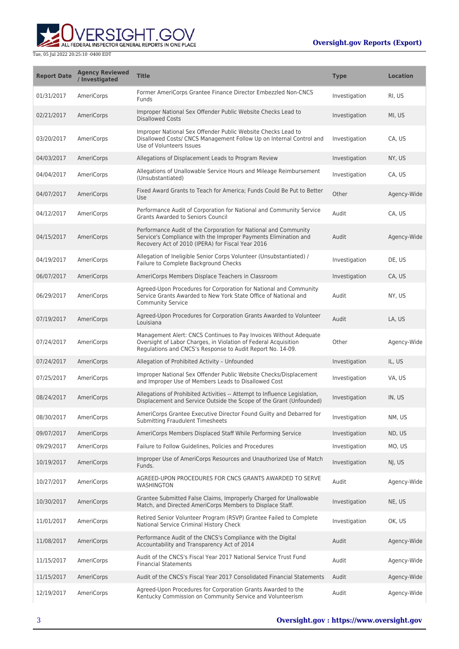## **Oversight.gov Reports (Export)**



| <b>Report Date</b> | <b>Agency Reviewed</b><br>/ Investigated | <b>Title</b>                                                                                                                                                                                       | <b>Type</b>   | <b>Location</b> |
|--------------------|------------------------------------------|----------------------------------------------------------------------------------------------------------------------------------------------------------------------------------------------------|---------------|-----------------|
| 01/31/2017         | AmeriCorps                               | Former AmeriCorps Grantee Finance Director Embezzled Non-CNCS<br>Funds                                                                                                                             | Investigation | RI, US          |
| 02/21/2017         | AmeriCorps                               | Improper National Sex Offender Public Website Checks Lead to<br><b>Disallowed Costs</b>                                                                                                            | Investigation | MI, US          |
| 03/20/2017         | AmeriCorps                               | Improper National Sex Offender Public Website Checks Lead to<br>Disallowed Costs/ CNCS Management Follow Up on Internal Control and<br>Use of Volunteers Issues                                    | Investigation | CA, US          |
| 04/03/2017         | AmeriCorps                               | Allegations of Displacement Leads to Program Review                                                                                                                                                | Investigation | NY, US          |
| 04/04/2017         | AmeriCorps                               | Allegations of Unallowable Service Hours and Mileage Reimbursement<br>(Unsubstantiated)                                                                                                            | Investigation | CA, US          |
| 04/07/2017         | AmeriCorps                               | Fixed Award Grants to Teach for America; Funds Could Be Put to Better<br>Use                                                                                                                       | Other         | Agency-Wide     |
| 04/12/2017         | AmeriCorps                               | Performance Audit of Corporation for National and Community Service<br><b>Grants Awarded to Seniors Council</b>                                                                                    | Audit         | CA, US          |
| 04/15/2017         | AmeriCorps                               | Performance Audit of the Corporation for National and Community<br>Service's Compliance with the Improper Payments Elimination and<br>Recovery Act of 2010 (IPERA) for Fiscal Year 2016            | Audit         | Agency-Wide     |
| 04/19/2017         | AmeriCorps                               | Allegation of Ineligible Senior Corps Volunteer (Unsubstantiated) /<br>Failure to Complete Background Checks                                                                                       | Investigation | DE, US          |
| 06/07/2017         | AmeriCorps                               | AmeriCorps Members Displace Teachers in Classroom                                                                                                                                                  | Investigation | CA, US          |
| 06/29/2017         | AmeriCorps                               | Agreed-Upon Procedures for Corporation for National and Community<br>Service Grants Awarded to New York State Office of National and<br><b>Community Service</b>                                   | Audit         | NY, US          |
| 07/19/2017         | AmeriCorps                               | Agreed-Upon Procedures for Corporation Grants Awarded to Volunteer<br>Louisiana                                                                                                                    | Audit         | LA, US          |
| 07/24/2017         | AmeriCorps                               | Management Alert: CNCS Continues to Pay Invoices Without Adequate<br>Oversight of Labor Charges, in Violation of Federal Acquisition<br>Regulations and CNCS's Response to Audit Report No. 14-09. | Other         | Agency-Wide     |
| 07/24/2017         | AmeriCorps                               | Allegation of Prohibited Activity - Unfounded                                                                                                                                                      | Investigation | IL, US          |
| 07/25/2017         | AmeriCorps                               | Improper National Sex Offender Public Website Checks/Displacement<br>and Improper Use of Members Leads to Disallowed Cost                                                                          | Investigation | VA, US          |
| 08/24/2017         | AmeriCorps                               | Allegations of Prohibited Activities -- Attempt to Influence Legislation,<br>Displacement and Service Outside the Scope of the Grant (Unfounded)                                                   | Investigation | IN, US          |
| 08/30/2017         | <b>AmeriCorps</b>                        | AmeriCorps Grantee Executive Director Found Guilty and Debarred for<br>Submitting Fraudulent Timesheets                                                                                            | Investigation | NM, US          |
| 09/07/2017         | AmeriCorps                               | AmeriCorps Members Displaced Staff While Performing Service                                                                                                                                        | Investigation | ND, US          |
| 09/29/2017         | AmeriCorps                               | Failure to Follow Guidelines, Policies and Procedures                                                                                                                                              | Investigation | MO, US          |
| 10/19/2017         | AmeriCorps                               | Improper Use of AmeriCorps Resources and Unauthorized Use of Match<br>Funds.                                                                                                                       | Investigation | NJ, US          |
| 10/27/2017         | AmeriCorps                               | AGREED-UPON PROCEDURES FOR CNCS GRANTS AWARDED TO SERVE<br><b>WASHINGTON</b>                                                                                                                       | Audit         | Agency-Wide     |
| 10/30/2017         | AmeriCorps                               | Grantee Submitted False Claims, Improperly Charged for Unallowable<br>Match, and Directed AmeriCorps Members to Displace Staff.                                                                    | Investigation | NE, US          |
| 11/01/2017         | AmeriCorps                               | Retired Senior Volunteer Program (RSVP) Grantee Failed to Complete<br>National Service Criminal History Check                                                                                      | Investigation | OK, US          |
| 11/08/2017         | AmeriCorps                               | Performance Audit of the CNCS's Compliance with the Digital<br>Accountability and Transparency Act of 2014                                                                                         | Audit         | Agency-Wide     |
| 11/15/2017         | AmeriCorps                               | Audit of the CNCS's Fiscal Year 2017 National Service Trust Fund<br><b>Financial Statements</b>                                                                                                    | Audit         | Agency-Wide     |
| 11/15/2017         | AmeriCorps                               | Audit of the CNCS's Fiscal Year 2017 Consolidated Financial Statements                                                                                                                             | Audit         | Agency-Wide     |
| 12/19/2017         | AmeriCorps                               | Agreed-Upon Procedures for Corporation Grants Awarded to the<br>Kentucky Commission on Community Service and Volunteerism                                                                          | Audit         | Agency-Wide     |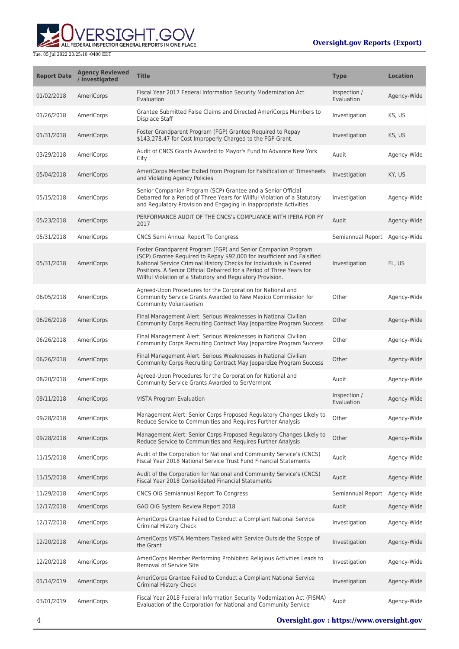

| <b>Report Date</b> | <b>Agency Reviewed</b><br>/ Investigated | <b>Title</b>                                                                                                                                                                                                                                                                                                                                           | <b>Type</b>                | <b>Location</b> |
|--------------------|------------------------------------------|--------------------------------------------------------------------------------------------------------------------------------------------------------------------------------------------------------------------------------------------------------------------------------------------------------------------------------------------------------|----------------------------|-----------------|
| 01/02/2018         | AmeriCorps                               | Fiscal Year 2017 Federal Information Security Modernization Act<br>Evaluation                                                                                                                                                                                                                                                                          | Inspection /<br>Evaluation | Agency-Wide     |
| 01/26/2018         | AmeriCorps                               | Grantee Submitted False Claims and Directed AmeriCorps Members to<br>Displace Staff                                                                                                                                                                                                                                                                    | Investigation              | KS, US          |
| 01/31/2018         | AmeriCorps                               | Foster Grandparent Program (FGP) Grantee Required to Repay<br>\$143,278.47 for Cost Improperly Charged to the FGP Grant.                                                                                                                                                                                                                               | Investigation              | KS, US          |
| 03/29/2018         | AmeriCorps                               | Audit of CNCS Grants Awarded to Mayor's Fund to Advance New York<br>City                                                                                                                                                                                                                                                                               | Audit                      | Agency-Wide     |
| 05/04/2018         | AmeriCorps                               | AmeriCorps Member Exited from Program for Falsification of Timesheets<br>and Violating Agency Policies                                                                                                                                                                                                                                                 | Investigation              | KY, US          |
| 05/15/2018         | AmeriCorps                               | Senior Companion Program (SCP) Grantee and a Senior Official<br>Debarred for a Period of Three Years for Willful Violation of a Statutory<br>and Regulatory Provision and Engaging in Inappropriate Activities.                                                                                                                                        | Investigation              | Agency-Wide     |
| 05/23/2018         | AmeriCorps                               | PERFORMANCE AUDIT OF THE CNCS's COMPLIANCE WITH IPERA FOR FY<br>2017                                                                                                                                                                                                                                                                                   | Audit                      | Agency-Wide     |
| 05/31/2018         | AmeriCorps                               | CNCS Semi Annual Report To Congress                                                                                                                                                                                                                                                                                                                    | Semiannual Report          | Agency-Wide     |
| 05/31/2018         | AmeriCorps                               | Foster Grandparent Program (FGP) and Senior Companion Program<br>(SCP) Grantee Required to Repay \$92,000 for Insufficient and Falsified<br>National Service Criminal History Checks for Individuals in Covered<br>Positions. A Senior Official Debarred for a Period of Three Years for<br>Willful Violation of a Statutory and Regulatory Provision. | Investigation              | FL, US          |
| 06/05/2018         | AmeriCorps                               | Agreed-Upon Procedures for the Corporation for National and<br>Community Service Grants Awarded to New Mexico Commission for<br>Community Volunteerism                                                                                                                                                                                                 | Other                      | Agency-Wide     |
| 06/26/2018         | AmeriCorps                               | Final Management Alert: Serious Weaknesses in National Civilian<br>Community Corps Recruiting Contract May Jeopardize Program Success                                                                                                                                                                                                                  | Other                      | Agency-Wide     |
| 06/26/2018         | AmeriCorps                               | Final Management Alert: Serious Weaknesses in National Civilian<br>Community Corps Recruiting Contract May Jeopardize Program Success                                                                                                                                                                                                                  | Other                      | Agency-Wide     |
| 06/26/2018         | AmeriCorps                               | Final Management Alert: Serious Weaknesses in National Civilian<br>Community Corps Recruiting Contract May Jeopardize Program Success                                                                                                                                                                                                                  | Other                      | Agency-Wide     |
| 08/20/2018         | AmeriCorps                               | Agreed-Upon Procedures for the Corporation for National and<br>Community Service Grants Awarded to SerVermont                                                                                                                                                                                                                                          | Audit                      | Agency-Wide     |
| 09/11/2018         | AmeriCorps                               | <b>VISTA Program Evaluation</b>                                                                                                                                                                                                                                                                                                                        | Inspection /<br>Evaluation | Agency-Wide     |
| 09/28/2018         | AmeriCorps                               | Management Alert: Senior Corps Proposed Regulatory Changes Likely to<br>Reduce Service to Communities and Requires Further Analysis                                                                                                                                                                                                                    | Other                      | Agency-Wide     |
| 09/28/2018         | AmeriCorps                               | Management Alert: Senior Corps Proposed Regulatory Changes Likely to<br>Reduce Service to Communities and Requires Further Analysis                                                                                                                                                                                                                    | Other                      | Agency-Wide     |
| 11/15/2018         | AmeriCorps                               | Audit of the Corporation for National and Community Service's (CNCS)<br>Fiscal Year 2018 National Service Trust Fund Financial Statements                                                                                                                                                                                                              | Audit                      | Agency-Wide     |
| 11/15/2018         | AmeriCorps                               | Audit of the Corporation for National and Community Service's (CNCS)<br>Fiscal Year 2018 Consolidated Financial Statements                                                                                                                                                                                                                             | Audit                      | Agency-Wide     |
| 11/29/2018         | AmeriCorps                               | CNCS OIG Semiannual Report To Congress                                                                                                                                                                                                                                                                                                                 | Semiannual Report          | Agency-Wide     |
| 12/17/2018         | AmeriCorps                               | GAO OIG System Review Report 2018                                                                                                                                                                                                                                                                                                                      | Audit                      | Agency-Wide     |
| 12/17/2018         | AmeriCorps                               | AmeriCorps Grantee Failed to Conduct a Compliant National Service<br>Criminal History Check                                                                                                                                                                                                                                                            | Investigation              | Agency-Wide     |
| 12/20/2018         | AmeriCorps                               | AmeriCorps VISTA Members Tasked with Service Outside the Scope of<br>the Grant                                                                                                                                                                                                                                                                         | Investigation              | Agency-Wide     |
| 12/20/2018         | AmeriCorps                               | AmeriCorps Member Performing Prohibited Religious Activities Leads to<br>Removal of Service Site                                                                                                                                                                                                                                                       | Investigation              | Agency-Wide     |
| 01/14/2019         | AmeriCorps                               | AmeriCorps Grantee Failed to Conduct a Compliant National Service<br><b>Criminal History Check</b>                                                                                                                                                                                                                                                     | Investigation              | Agency-Wide     |
| 03/01/2019         | AmeriCorps                               | Fiscal Year 2018 Federal Information Security Modernization Act (FISMA)<br>Evaluation of the Corporation for National and Community Service                                                                                                                                                                                                            | Audit                      | Agency-Wide     |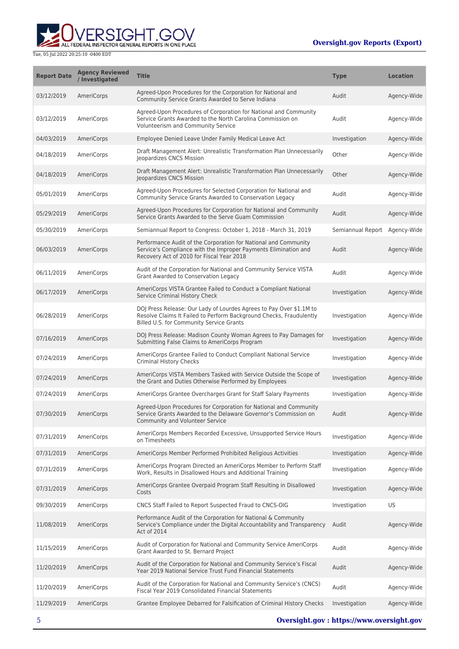

| <b>Report Date</b> | <b>Agency Reviewed</b><br>/ Investigated | <b>Title</b>                                                                                                                                                                           | <b>Type</b>       | <b>Location</b> |
|--------------------|------------------------------------------|----------------------------------------------------------------------------------------------------------------------------------------------------------------------------------------|-------------------|-----------------|
| 03/12/2019         | AmeriCorps                               | Agreed-Upon Procedures for the Corporation for National and<br>Community Service Grants Awarded to Serve Indiana                                                                       | Audit             | Agency-Wide     |
| 03/12/2019         | AmeriCorps                               | Agreed-Upon Procedures of Corporation for National and Community<br>Service Grants Awarded to the North Carolina Commission on<br>Volunteerism and Community Service                   | Audit             | Agency-Wide     |
| 04/03/2019         | AmeriCorps                               | Employee Denied Leave Under Family Medical Leave Act                                                                                                                                   | Investigation     | Agency-Wide     |
| 04/18/2019         | AmeriCorps                               | Draft Management Alert: Unrealistic Transformation Plan Unnecessarily<br>Jeopardizes CNCS Mission                                                                                      | Other             | Agency-Wide     |
| 04/18/2019         | AmeriCorps                               | Draft Management Alert: Unrealistic Transformation Plan Unnecessarily<br>Jeopardizes CNCS Mission                                                                                      | Other             | Agency-Wide     |
| 05/01/2019         | AmeriCorps                               | Agreed-Upon Procedures for Selected Corporation for National and<br>Community Service Grants Awarded to Conservation Legacy                                                            | Audit             | Agency-Wide     |
| 05/29/2019         | AmeriCorps                               | Agreed-Upon Procedures for Corporation for National and Community<br>Service Grants Awarded to the Serve Guam Commission                                                               | Audit             | Agency-Wide     |
| 05/30/2019         | AmeriCorps                               | Semiannual Report to Congress: October 1, 2018 - March 31, 2019                                                                                                                        | Semiannual Report | Agency-Wide     |
| 06/03/2019         | AmeriCorps                               | Performance Audit of the Corporation for National and Community<br>Service's Compliance with the Improper Payments Elimination and<br>Recovery Act of 2010 for Fiscal Year 2018        | Audit             | Agency-Wide     |
| 06/11/2019         | AmeriCorps                               | Audit of the Corporation for National and Community Service VISTA<br>Grant Awarded to Conservation Legacy                                                                              | Audit             | Agency-Wide     |
| 06/17/2019         | AmeriCorps                               | AmeriCorps VISTA Grantee Failed to Conduct a Compliant National<br>Service Criminal History Check                                                                                      | Investigation     | Agency-Wide     |
| 06/28/2019         | AmeriCorps                               | DOJ Press Release: Our Lady of Lourdes Agrees to Pay Over \$1.1M to<br>Resolve Claims It Failed to Perform Background Checks, Fraudulently<br>Billed U.S. for Community Service Grants | Investigation     | Agency-Wide     |
| 07/16/2019         | AmeriCorps                               | DOJ Press Release: Madison County Woman Agrees to Pay Damages for<br>Submitting False Claims to AmeriCorps Program                                                                     | Investigation     | Agency-Wide     |
| 07/24/2019         | AmeriCorps                               | AmeriCorps Grantee Failed to Conduct Compliant National Service<br>Criminal History Checks                                                                                             | Investigation     | Agency-Wide     |
| 07/24/2019         | AmeriCorps                               | AmeriCorps VISTA Members Tasked with Service Outside the Scope of<br>the Grant and Duties Otherwise Performed by Employees                                                             | Investigation     | Agency-Wide     |
| 07/24/2019         | AmeriCorps                               | AmeriCorps Grantee Overcharges Grant for Staff Salary Payments                                                                                                                         | Investigation     | Agency-Wide     |
| 07/30/2019         | AmeriCorps                               | Agreed-Upon Procedures for Corporation for National and Community<br>Service Grants Awarded to the Delaware Governor's Commission on<br><b>Community and Volunteer Service</b>         | Audit             | Agency-Wide     |
| 07/31/2019         | AmeriCorps                               | AmeriCorps Members Recorded Excessive, Unsupported Service Hours<br>on Timesheets                                                                                                      | Investigation     | Agency-Wide     |
| 07/31/2019         | AmeriCorps                               | AmeriCorps Member Performed Prohibited Religious Activities                                                                                                                            | Investigation     | Agency-Wide     |
| 07/31/2019         | AmeriCorps                               | AmeriCorps Program Directed an AmeriCorps Member to Perform Staff<br>Work, Results in Disallowed Hours and Additional Training                                                         | Investigation     | Agency-Wide     |
| 07/31/2019         | AmeriCorps                               | AmeriCorps Grantee Overpaid Program Staff Resulting in Disallowed<br>Costs                                                                                                             | Investigation     | Agency-Wide     |
| 09/30/2019         | AmeriCorps                               | CNCS Staff Failed to Report Suspected Fraud to CNCS-OIG                                                                                                                                | Investigation     | US              |
| 11/08/2019         | AmeriCorps                               | Performance Audit of the Corporation for National & Community<br>Service's Compliance under the Digital Accountability and Transparency<br>Act of 2014                                 | Audit             | Agency-Wide     |
| 11/15/2019         | AmeriCorps                               | Audit of Corporation for National and Community Service AmeriCorps<br>Grant Awarded to St. Bernard Project                                                                             | Audit             | Agency-Wide     |
| 11/20/2019         | AmeriCorps                               | Audit of the Corporation for National and Community Service's Fiscal<br>Year 2019 National Service Trust Fund Financial Statements                                                     | Audit             | Agency-Wide     |
| 11/20/2019         | AmeriCorps                               | Audit of the Corporation for National and Community Service's (CNCS)<br>Fiscal Year 2019 Consolidated Financial Statements                                                             | Audit             | Agency-Wide     |
| 11/29/2019         | AmeriCorps                               | Grantee Employee Debarred for Falsification of Criminal History Checks                                                                                                                 | Investigation     | Agency-Wide     |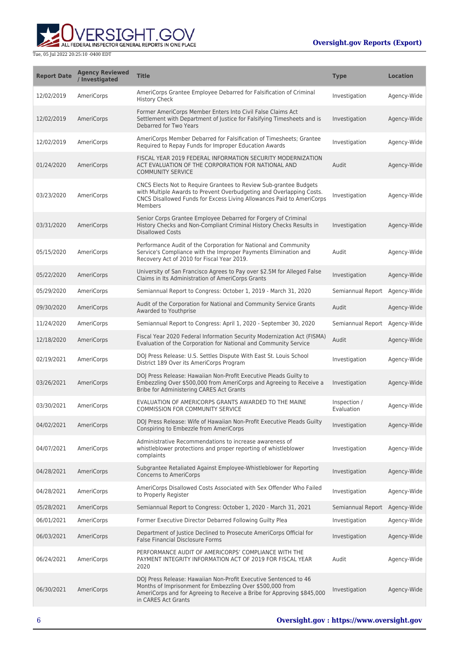

| <b>Report Date</b> | <b>Agency Reviewed</b><br>/ Investigated | <b>Title</b>                                                                                                                                                                                                                   | <b>Type</b>                | <b>Location</b> |
|--------------------|------------------------------------------|--------------------------------------------------------------------------------------------------------------------------------------------------------------------------------------------------------------------------------|----------------------------|-----------------|
| 12/02/2019         | AmeriCorps                               | AmeriCorps Grantee Employee Debarred for Falsification of Criminal<br><b>History Check</b>                                                                                                                                     | Investigation              | Agency-Wide     |
| 12/02/2019         | AmeriCorps                               | Former AmeriCorps Member Enters Into Civil False Claims Act<br>Settlement with Department of Justice for Falsifying Timesheets and is<br>Debarred for Two Years                                                                | Investigation              | Agency-Wide     |
| 12/02/2019         | AmeriCorps                               | AmeriCorps Member Debarred for Falsification of Timesheets; Grantee<br>Required to Repay Funds for Improper Education Awards                                                                                                   | Investigation              | Agency-Wide     |
| 01/24/2020         | AmeriCorps                               | FISCAL YEAR 2019 FEDERAL INFORMATION SECURITY MODERNIZATION<br>ACT EVALUATION OF THE CORPORATION FOR NATIONAL AND<br><b>COMMUNITY SERVICE</b>                                                                                  | Audit                      | Agency-Wide     |
| 03/23/2020         | AmeriCorps                               | CNCS Elects Not to Require Grantees to Review Sub-grantee Budgets<br>with Multiple Awards to Prevent Overbudgeting and Overlapping Costs.<br>CNCS Disallowed Funds for Excess Living Allowances Paid to AmeriCorps<br>Members  | Investigation              | Agency-Wide     |
| 03/31/2020         | AmeriCorps                               | Senior Corps Grantee Employee Debarred for Forgery of Criminal<br>History Checks and Non-Compliant Criminal History Checks Results in<br><b>Disallowed Costs</b>                                                               | Investigation              | Agency-Wide     |
| 05/15/2020         | AmeriCorps                               | Performance Audit of the Corporation for National and Community<br>Service's Compliance with the Improper Payments Elimination and<br>Recovery Act of 2010 for Fiscal Year 2019.                                               | Audit                      | Agency-Wide     |
| 05/22/2020         | AmeriCorps                               | University of San Francisco Agrees to Pay over \$2.5M for Alleged False<br>Claims in Its Administration of AmeriCorps Grants                                                                                                   | Investigation              | Agency-Wide     |
| 05/29/2020         | AmeriCorps                               | Semiannual Report to Congress: October 1, 2019 - March 31, 2020                                                                                                                                                                | Semiannual Report          | Agency-Wide     |
| 09/30/2020         | AmeriCorps                               | Audit of the Corporation for National and Community Service Grants<br>Awarded to Youthprise                                                                                                                                    | Audit                      | Agency-Wide     |
| 11/24/2020         | AmeriCorps                               | Semiannual Report to Congress: April 1, 2020 - September 30, 2020                                                                                                                                                              | Semiannual Report          | Agency-Wide     |
| 12/18/2020         | AmeriCorps                               | Fiscal Year 2020 Federal Information Security Modernization Act (FISMA)<br>Evaluation of the Corporation for National and Community Service                                                                                    | Audit                      | Agency-Wide     |
| 02/19/2021         | AmeriCorps                               | DOJ Press Release: U.S. Settles Dispute With East St. Louis School<br>District 189 Over its AmeriCorps Program                                                                                                                 | Investigation              | Agency-Wide     |
| 03/26/2021         | AmeriCorps                               | DOJ Press Release: Hawaiian Non-Profit Executive Pleads Guilty to<br>Embezzling Over \$500,000 from AmeriCorps and Agreeing to Receive a<br>Bribe for Administering CARES Act Grants                                           | Investigation              | Agency-Wide     |
| 03/30/2021         | AmeriCorps                               | EVALUATION OF AMERICORPS GRANTS AWARDED TO THE MAINE<br><b>COMMISSION FOR COMMUNITY SERVICE</b>                                                                                                                                | Inspection /<br>Evaluation | Agency-Wide     |
| 04/02/2021         | AmeriCorps                               | DOJ Press Release: Wife of Hawaiian Non-Profit Executive Pleads Guilty<br>Conspiring to Embezzle from AmeriCorps                                                                                                               | Investigation              | Agency-Wide     |
| 04/07/2021         | AmeriCorps                               | Administrative Recommendations to increase awareness of<br>whistleblower protections and proper reporting of whistleblower<br>complaints                                                                                       | Investigation              | Agency-Wide     |
| 04/28/2021         | AmeriCorps                               | Subgrantee Retaliated Against Employee-Whistleblower for Reporting<br><b>Concerns to AmeriCorps</b>                                                                                                                            | Investigation              | Agency-Wide     |
| 04/28/2021         | AmeriCorps                               | AmeriCorps Disallowed Costs Associated with Sex Offender Who Failed<br>to Properly Register                                                                                                                                    | Investigation              | Agency-Wide     |
| 05/28/2021         | AmeriCorps                               | Semiannual Report to Congress: October 1, 2020 - March 31, 2021                                                                                                                                                                | Semiannual Report          | Agency-Wide     |
| 06/01/2021         | AmeriCorps                               | Former Executive Director Debarred Following Guilty Plea                                                                                                                                                                       | Investigation              | Agency-Wide     |
| 06/03/2021         | AmeriCorps                               | Department of Justice Declined to Prosecute AmeriCorps Official for<br>False Financial Disclosure Forms                                                                                                                        | Investigation              | Agency-Wide     |
| 06/24/2021         | AmeriCorps                               | PERFORMANCE AUDIT OF AMERICORPS' COMPLIANCE WITH THE<br>PAYMENT INTEGRITY INFORMATION ACT OF 2019 FOR FISCAL YEAR<br>2020                                                                                                      | Audit                      | Agency-Wide     |
| 06/30/2021         | AmeriCorps                               | DOJ Press Release: Hawaiian Non-Profit Executive Sentenced to 46<br>Months of Imprisonment for Embezzling Over \$500,000 from<br>AmeriCorps and for Agreeing to Receive a Bribe for Approving \$845,000<br>in CARES Act Grants | Investigation              | Agency-Wide     |